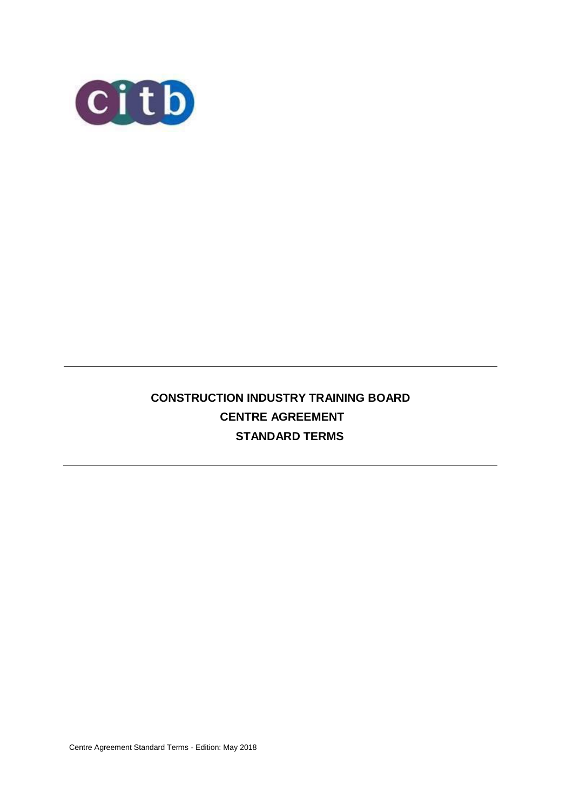

# **CONSTRUCTION INDUSTRY TRAINING BOARD CENTRE AGREEMENT STANDARD TERMS**

Centre Agreement Standard Terms - Edition: May 2018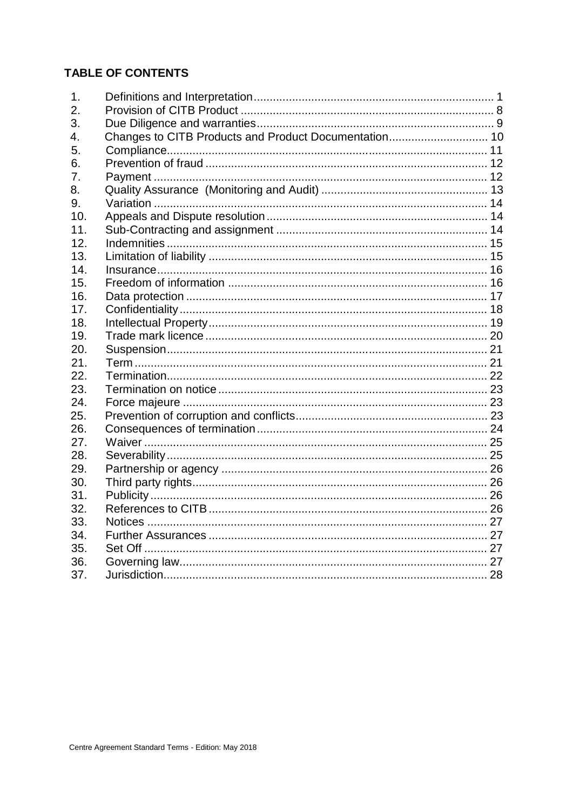# **TABLE OF CONTENTS**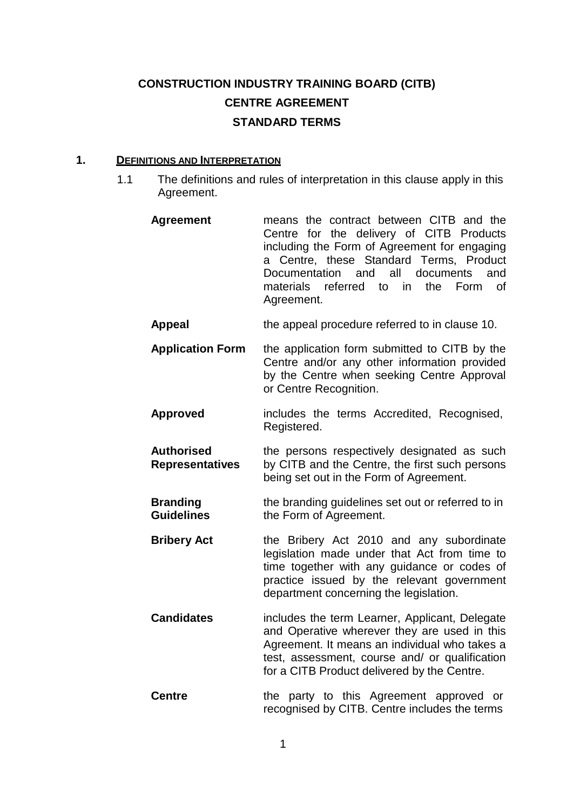# **CONSTRUCTION INDUSTRY TRAINING BOARD (CITB) CENTRE AGREEMENT STANDARD TERMS**

# **1. DEFINITIONS AND INTERPRETATION**

1.1 The definitions and rules of interpretation in this clause apply in this Agreement.

| <b>Agreement</b>                            | means the contract between CITB and the<br>Centre for the delivery of CITB Products<br>including the Form of Agreement for engaging<br>a Centre, these Standard Terms, Product<br>Documentation and all documents<br>and<br>materials referred to in<br>the<br>Form<br>$\circ$ f<br>Agreement. |
|---------------------------------------------|------------------------------------------------------------------------------------------------------------------------------------------------------------------------------------------------------------------------------------------------------------------------------------------------|
| <b>Appeal</b>                               | the appeal procedure referred to in clause 10.                                                                                                                                                                                                                                                 |
| <b>Application Form</b>                     | the application form submitted to CITB by the<br>Centre and/or any other information provided<br>by the Centre when seeking Centre Approval<br>or Centre Recognition.                                                                                                                          |
| <b>Approved</b>                             | includes the terms Accredited, Recognised,<br>Registered.                                                                                                                                                                                                                                      |
| <b>Authorised</b><br><b>Representatives</b> | the persons respectively designated as such<br>by CITB and the Centre, the first such persons<br>being set out in the Form of Agreement.                                                                                                                                                       |
| <b>Branding</b><br><b>Guidelines</b>        | the branding guidelines set out or referred to in<br>the Form of Agreement.                                                                                                                                                                                                                    |
| <b>Bribery Act</b>                          | the Bribery Act 2010 and any subordinate<br>legislation made under that Act from time to<br>time together with any guidance or codes of<br>practice issued by the relevant government<br>department concerning the legislation.                                                                |
| <b>Candidates</b>                           | includes the term Learner, Applicant, Delegate<br>and Operative wherever they are used in this<br>Agreement. It means an individual who takes a<br>test, assessment, course and/ or qualification<br>for a CITB Product delivered by the Centre.                                               |
| <b>Centre</b>                               | party to this Agreement<br>the<br>approved<br>or                                                                                                                                                                                                                                               |

recognised by CITB. Centre includes the terms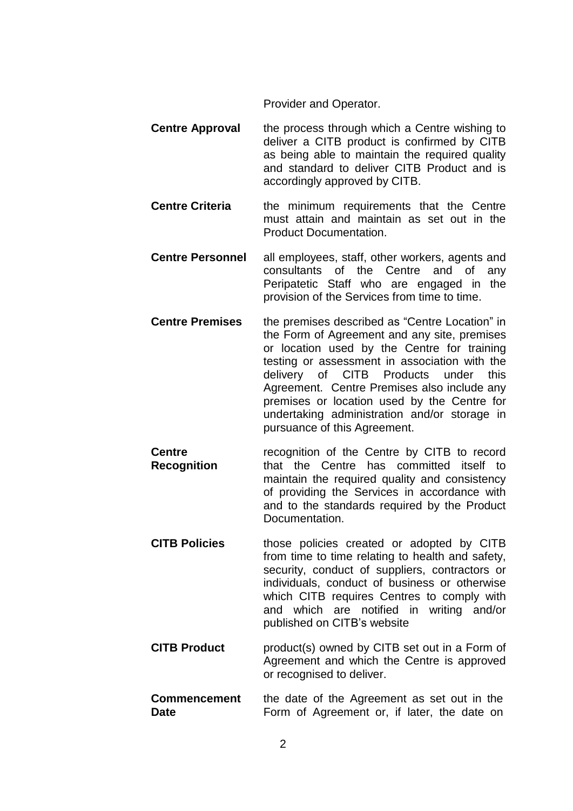Provider and Operator.

- **Centre Approval** the process through which a Centre wishing to deliver a CITB product is confirmed by CITB as being able to maintain the required quality and standard to deliver CITB Product and is accordingly approved by CITB.
- **Centre Criteria** the minimum requirements that the Centre must attain and maintain as set out in the Product Documentation.
- **Centre Personnel** all employees, staff, other workers, agents and consultants of the Centre and of any Peripatetic Staff who are engaged in the provision of the Services from time to time.
- **Centre Premises** the premises described as "Centre Location" in the Form of Agreement and any site, premises or location used by the Centre for training testing or assessment in association with the delivery of CITB Products under this Agreement. Centre Premises also include any premises or location used by the Centre for undertaking administration and/or storage in pursuance of this Agreement.
- **Centre Recognition** recognition of the Centre by CITB to record that the Centre has committed itself to maintain the required quality and consistency of providing the Services in accordance with and to the standards required by the Product Documentation.
- **CITB Policies** those policies created or adopted by CITB from time to time relating to health and safety, security, conduct of suppliers, contractors or individuals, conduct of business or otherwise which CITB requires Centres to comply with and which are notified in writing and/or published on CITB's website
- **CITB Product** product(s) owned by CITB set out in a Form of Agreement and which the Centre is approved or recognised to deliver.
- **Commencement Date** the date of the Agreement as set out in the Form of Agreement or, if later, the date on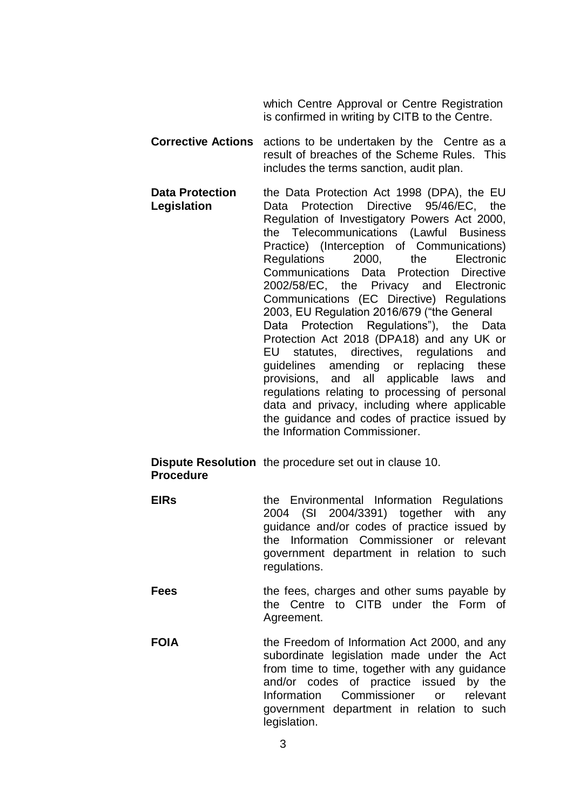which Centre Approval or Centre Registration is confirmed in writing by CITB to the Centre.

- **Corrective Actions** actions to be undertaken by the Centre as a result of breaches of the Scheme Rules. This includes the terms sanction, audit plan.
- **Data Protection Legislation** the Data Protection Act 1998 (DPA), the EU Data Protection Directive 95/46/EC, the Regulation of Investigatory Powers Act 2000, the Telecommunications (Lawful Business Practice) (Interception of Communications) Regulations 2000, the Electronic Communications Data Protection Directive 2002/58/EC, the Privacy and Electronic Communications (EC Directive) Regulations 2003, EU Regulation 2016/679 ("the General Data Protection Regulations"), the Data Protection Act 2018 (DPA18) and any UK or EU statutes, directives, regulations and guidelines amending or replacing these provisions, and all applicable laws and regulations relating to processing of personal data and privacy, including where applicable the guidance and codes of practice issued by the Information Commissioner.

#### **Dispute Resolution** the procedure set out in clause 10. **Procedure**

- **EIRs** the Environmental Information Regulations 2004 (SI 2004/3391) together with any guidance and/or codes of practice issued by the Information Commissioner or relevant government department in relation to such regulations.
	- **Fees** the fees, charges and other sums payable by the Centre to CITB under the Form of Agreement.
- **FOIA** the Freedom of Information Act 2000, and any subordinate legislation made under the Act from time to time, together with any guidance and/or codes of practice issued by the Information Commissioner or relevant government department in relation to such legislation.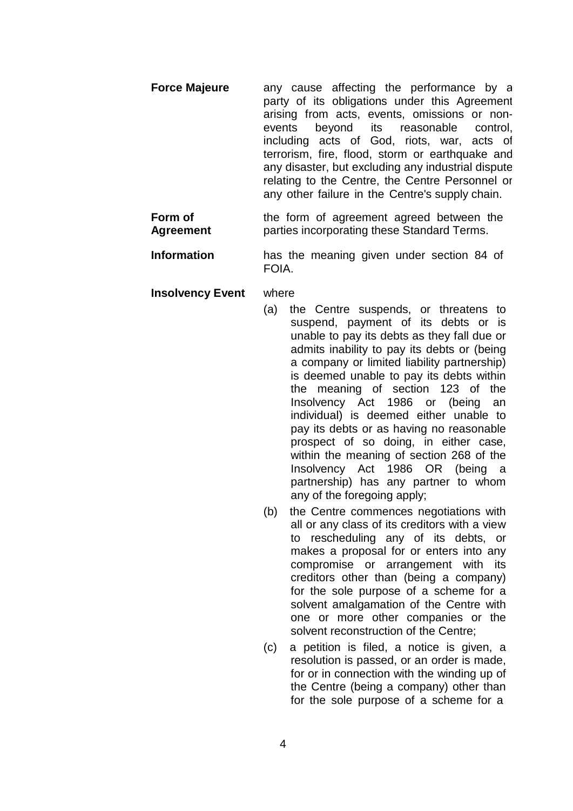- **Force Majeure** any cause affecting the performance by a party of its obligations under this Agreement arising from acts, events, omissions or nonevents beyond its reasonable control, including acts of God, riots, war, acts of terrorism, fire, flood, storm or earthquake and any disaster, but excluding any industrial dispute relating to the Centre, the Centre Personnel or any other failure in the Centre's supply chain.
- **Form of Agreement** the form of agreement agreed between the parties incorporating these Standard Terms.
- **Information** has the meaning given under section 84 of FOIA.
- **Insolvency Event** where
	- (a) the Centre suspends, or threatens to suspend, payment of its debts or is unable to pay its debts as they fall due or admits inability to pay its debts or (being a company or limited liability partnership) is deemed unable to pay its debts within the meaning of section 123 of the Insolvency Act 1986 or (being an individual) is deemed either unable to pay its debts or as having no reasonable prospect of so doing, in either case, within the meaning of section 268 of the Insolvency Act 1986 OR (being a partnership) has any partner to whom any of the foregoing apply;
	- (b) the Centre commences negotiations with all or any class of its creditors with a view to rescheduling any of its debts, or makes a proposal for or enters into any compromise or arrangement with its creditors other than (being a company) for the sole purpose of a scheme for a solvent amalgamation of the Centre with one or more other companies or the solvent reconstruction of the Centre;
	- (c) a petition is filed, a notice is given, a resolution is passed, or an order is made, for or in connection with the winding up of the Centre (being a company) other than for the sole purpose of a scheme for a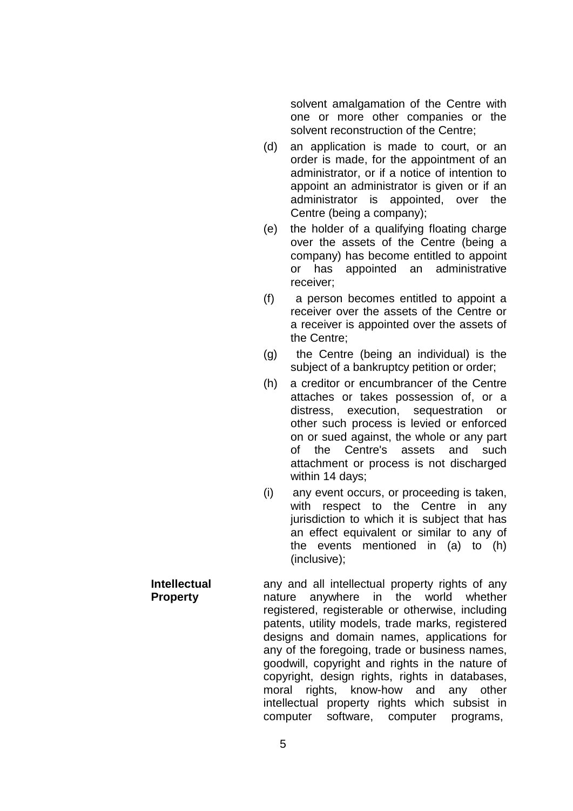solvent amalgamation of the Centre with one or more other companies or the solvent reconstruction of the Centre;

- (d) an application is made to court, or an order is made, for the appointment of an administrator, or if a notice of intention to appoint an administrator is given or if an administrator is appointed, over the Centre (being a company);
- (e) the holder of a qualifying floating charge over the assets of the Centre (being a company) has become entitled to appoint or has appointed an administrative receiver;
- (f) a person becomes entitled to appoint a receiver over the assets of the Centre or a receiver is appointed over the assets of the Centre;
- (g) the Centre (being an individual) is the subject of a bankruptcy petition or order;
- (h) a creditor or encumbrancer of the Centre attaches or takes possession of, or a distress, execution, sequestration or other such process is levied or enforced on or sued against, the whole or any part of the Centre's assets and such attachment or process is not discharged within 14 days;
- (i) any event occurs, or proceeding is taken, with respect to the Centre in any jurisdiction to which it is subject that has an effect equivalent or similar to any of the events mentioned in (a) to (h) (inclusive);

**Property** any and all intellectual property rights of any nature anywhere in the world whether registered, registerable or otherwise, including patents, utility models, trade marks, registered designs and domain names, applications for any of the foregoing, trade or business names, goodwill, copyright and rights in the nature of copyright, design rights, rights in databases, moral rights, know-how and any other intellectual property rights which subsist in computer software, computer programs,

# **Intellectual**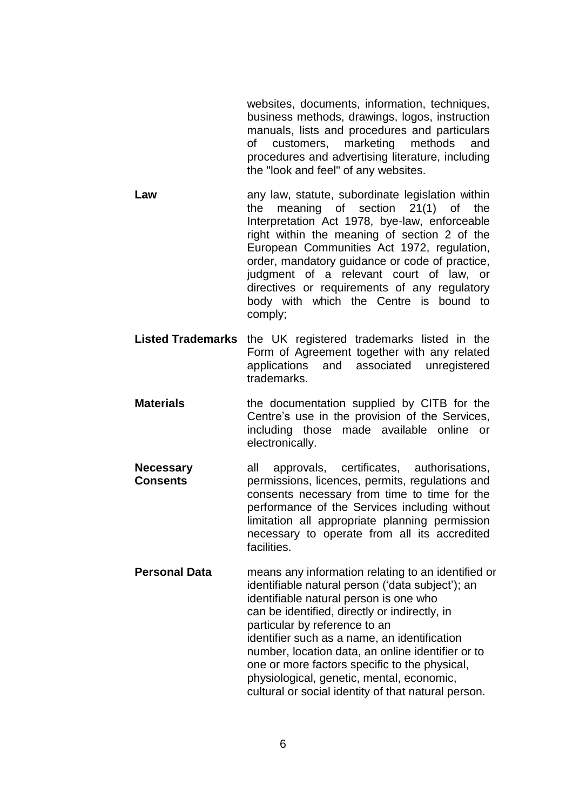websites, documents, information, techniques, business methods, drawings, logos, instruction manuals, lists and procedures and particulars of customers, marketing methods and procedures and advertising literature, including the "look and feel" of any websites.

**Law** any law, statute, subordinate legislation within the meaning of section 21(1) of the Interpretation Act 1978, bye-law, enforceable right within the meaning of section 2 of the European Communities Act 1972, regulation, order, mandatory guidance or code of practice, judgment of a relevant court of law, or directives or requirements of any regulatory body with which the Centre is bound to comply;

**Listed Trademarks** the UK registered trademarks listed in the Form of Agreement together with any related applications and associated unregistered trademarks.

- **Materials** the documentation supplied by CITB for the Centre's use in the provision of the Services, including those made available online or electronically.
- **Necessary Consents** all approvals, certificates, authorisations, permissions, licences, permits, regulations and consents necessary from time to time for the performance of the Services including without limitation all appropriate planning permission necessary to operate from all its accredited facilities.
- **Personal Data** means any information relating to an identified or identifiable natural person ('data subject'); an identifiable natural person is one who can be identified, directly or indirectly, in particular by reference to an identifier such as a name, an identification number, location data, an online identifier or to one or more factors specific to the physical, physiological, genetic, mental, economic, cultural or social identity of that natural person.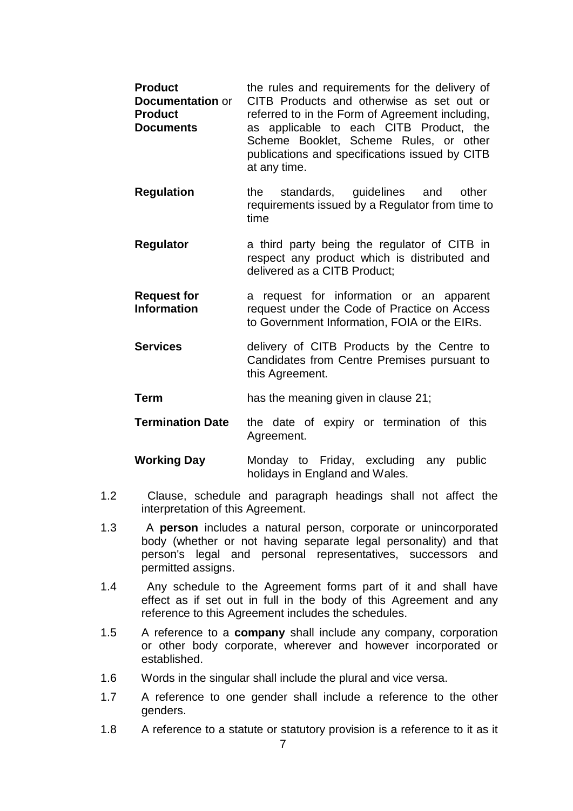- **Product Documentation** or **Product Documents** the rules and requirements for the delivery of CITB Products and otherwise as set out or referred to in the Form of Agreement including, as applicable to each CITB Product, the Scheme Booklet, Scheme Rules, or other publications and specifications issued by CITB at any time.
- **Regulation** the standards, guidelines and other requirements issued by a Regulator from time to time
- **Regulator** a third party being the regulator of CITB in respect any product which is distributed and delivered as a CITB Product;
- **Request for Information** a request for information or an apparent request under the Code of Practice on Access to Government Information, FOIA or the EIRs.
- **Services** delivery of CITB Products by the Centre to Candidates from Centre Premises pursuant to this Agreement.
- **Term** has the meaning given in clause 21;
- **Termination Date** the date of expiry or termination of this Agreement.
- **Working Day** Monday to Friday, excluding any public holidays in England and Wales.
- 1.2 Clause, schedule and paragraph headings shall not affect the interpretation of this Agreement.
- 1.3 A **person** includes a natural person, corporate or unincorporated body (whether or not having separate legal personality) and that person's legal and personal representatives, successors and permitted assigns.
- 1.4 Any schedule to the Agreement forms part of it and shall have effect as if set out in full in the body of this Agreement and any reference to this Agreement includes the schedules.
- 1.5 A reference to a **company** shall include any company, corporation or other body corporate, wherever and however incorporated or established.
- 1.6 Words in the singular shall include the plural and vice versa.
- 1.7 A reference to one gender shall include a reference to the other genders.
- 1.8 A reference to a statute or statutory provision is a reference to it as it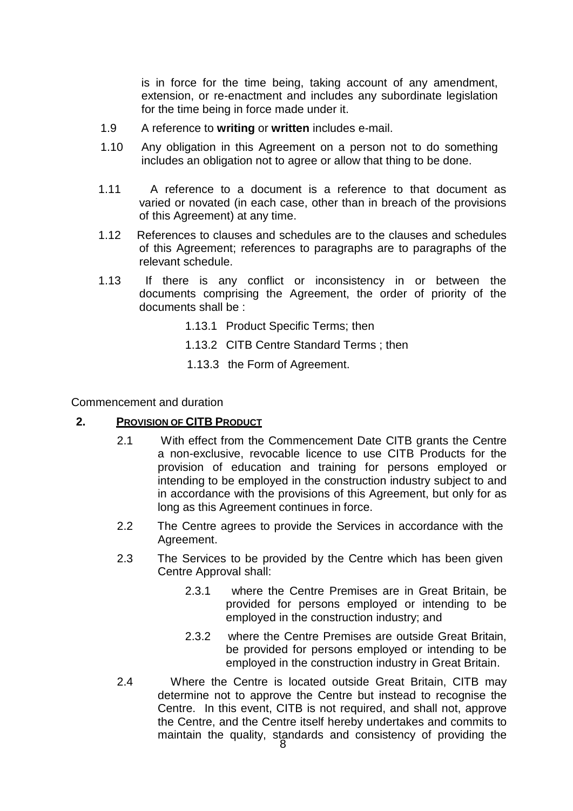is in force for the time being, taking account of any amendment, extension, or re-enactment and includes any subordinate legislation for the time being in force made under it.

- 1.9 A reference to **writing** or **written** includes e-mail.
- 1.10 Any obligation in this Agreement on a person not to do something includes an obligation not to agree or allow that thing to be done.
- 1.11 A reference to a document is a reference to that document as varied or novated (in each case, other than in breach of the provisions of this Agreement) at any time.
- 1.12 References to clauses and schedules are to the clauses and schedules of this Agreement; references to paragraphs are to paragraphs of the relevant schedule.
- 1.13 If there is any conflict or inconsistency in or between the documents comprising the Agreement, the order of priority of the documents shall be :
	- 1.13.1 Product Specific Terms; then
	- 1.13.2 CITB Centre Standard Terms ; then
	- 1.13.3 the Form of Agreement.

Commencement and duration

#### **2. PROVISION OF CITB PRODUCT**

- 2.1 With effect from the Commencement Date CITB grants the Centre a non-exclusive, revocable licence to use CITB Products for the provision of education and training for persons employed or intending to be employed in the construction industry subject to and in accordance with the provisions of this Agreement, but only for as long as this Agreement continues in force.
- 2.2 The Centre agrees to provide the Services in accordance with the Agreement.
- 2.3 The Services to be provided by the Centre which has been given Centre Approval shall:
	- 2.3.1 where the Centre Premises are in Great Britain, be provided for persons employed or intending to be employed in the construction industry; and
	- 2.3.2 where the Centre Premises are outside Great Britain, be provided for persons employed or intending to be employed in the construction industry in Great Britain.
- 2.4 Where the Centre is located outside Great Britain, CITB may determine not to approve the Centre but instead to recognise the Centre. In this event, CITB is not required, and shall not, approve the Centre, and the Centre itself hereby undertakes and commits to maintain the quality, standards and consistency of providing the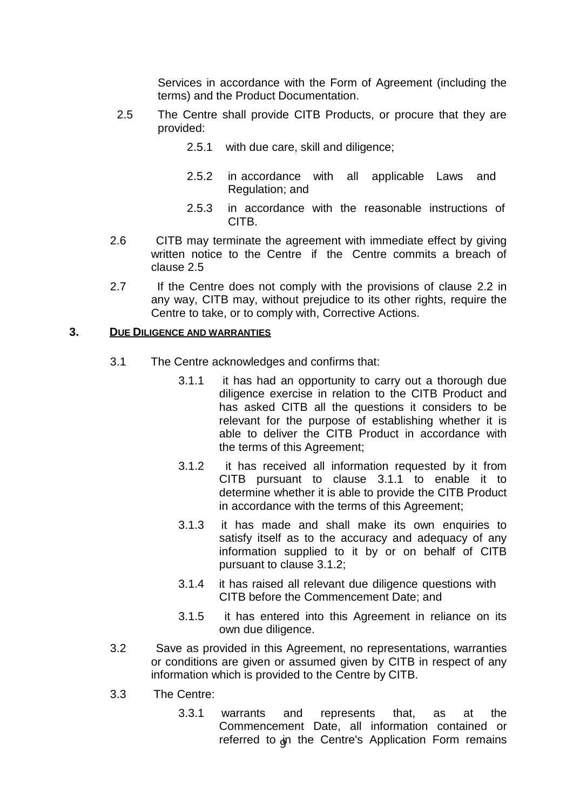Services in accordance with the Form of Agreement (including the terms) and the Product Documentation.

- 2.5 The Centre shall provide CITB Products, or procure that they are provided:
	- 2.5.1 with due care, skill and diligence;
	- 2.5.2 in accordance with all applicable Laws and Regulation; and
	- 2.5.3 in accordance with the reasonable instructions of CITB.
- 2.6 CITB may terminate the agreement with immediate effect by giving written notice to the Centre if the Centre commits a breach of clause 2.5
- 2.7 If the Centre does not comply with the provisions of clause 2.2 in any way, CITB may, without prejudice to its other rights, require the Centre to take, or to comply with, Corrective Actions.

#### **3. DUE DILIGENCE AND WARRANTIES**

- 3.1 The Centre acknowledges and confirms that:
	- 3.1.1 it has had an opportunity to carry out a thorough due diligence exercise in relation to the CITB Product and has asked CITB all the questions it considers to be relevant for the purpose of establishing whether it is able to deliver the CITB Product in accordance with the terms of this Agreement;
	- 3.1.2 it has received all information requested by it from CITB pursuant to clause 3.1.1 to enable it to determine whether it is able to provide the CITB Product in accordance with the terms of this Agreement;
	- 3.1.3 it has made and shall make its own enquiries to satisfy itself as to the accuracy and adequacy of any information supplied to it by or on behalf of CITB pursuant to clause 3.1.2;
	- 3.1.4 it has raised all relevant due diligence questions with CITB before the Commencement Date; and
	- 3.1.5 it has entered into this Agreement in reliance on its own due diligence.
- 3.2 Save as provided in this Agreement, no representations, warranties or conditions are given or assumed given by CITB in respect of any information which is provided to the Centre by CITB.
- 3.3 The Centre:
	- referred to  $\mathsf{dn}$  the Centre's Application Form remains 3.3.1 warrants and represents that, as at the Commencement Date, all information contained or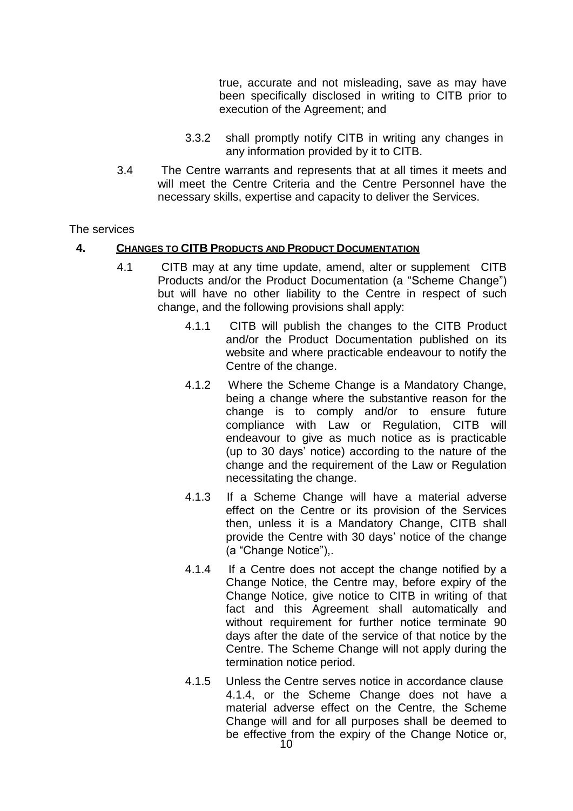true, accurate and not misleading, save as may have been specifically disclosed in writing to CITB prior to execution of the Agreement; and

- 3.3.2 shall promptly notify CITB in writing any changes in any information provided by it to CITB.
- 3.4 The Centre warrants and represents that at all times it meets and will meet the Centre Criteria and the Centre Personnel have the necessary skills, expertise and capacity to deliver the Services.

#### The services

#### **4. CHANGES TO CITB PRODUCTS AND PRODUCT DOCUMENTATION**

- 4.1 CITB may at any time update, amend, alter or supplement CITB Products and/or the Product Documentation (a "Scheme Change") but will have no other liability to the Centre in respect of such change, and the following provisions shall apply:
	- 4.1.1 CITB will publish the changes to the CITB Product and/or the Product Documentation published on its website and where practicable endeavour to notify the Centre of the change.
	- 4.1.2 Where the Scheme Change is a Mandatory Change, being a change where the substantive reason for the change is to comply and/or to ensure future compliance with Law or Regulation, CITB will endeavour to give as much notice as is practicable (up to 30 days' notice) according to the nature of the change and the requirement of the Law or Regulation necessitating the change.
	- 4.1.3 If a Scheme Change will have a material adverse effect on the Centre or its provision of the Services then, unless it is a Mandatory Change, CITB shall provide the Centre with 30 days' notice of the change (a "Change Notice"),.
	- 4.1.4 If a Centre does not accept the change notified by a Change Notice, the Centre may, before expiry of the Change Notice, give notice to CITB in writing of that fact and this Agreement shall automatically and without requirement for further notice terminate 90 days after the date of the service of that notice by the Centre. The Scheme Change will not apply during the termination notice period.
	- 4.1.5 Unless the Centre serves notice in accordance clause 4.1.4, or the Scheme Change does not have a material adverse effect on the Centre, the Scheme Change will and for all purposes shall be deemed to be effective from the expiry of the Change Notice or,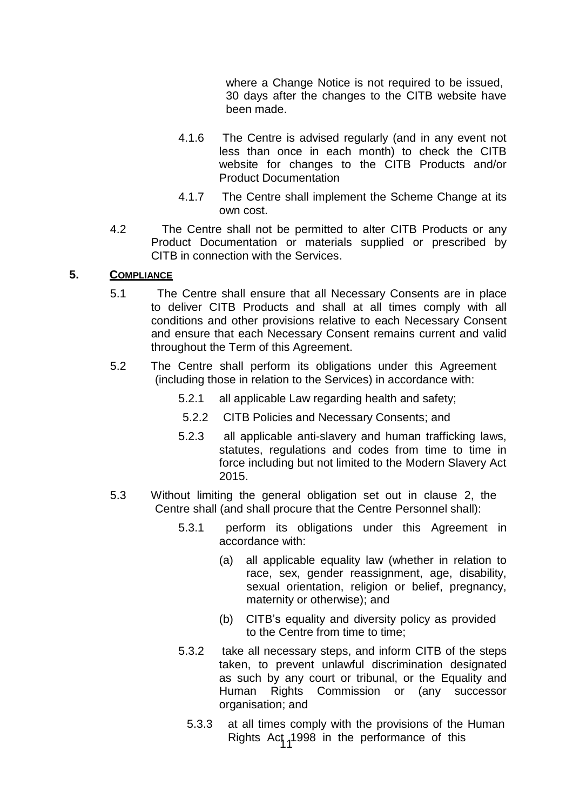where a Change Notice is not required to be issued, 30 days after the changes to the CITB website have been made.

- 4.1.6 The Centre is advised regularly (and in any event not less than once in each month) to check the CITB website for changes to the CITB Products and/or Product Documentation
- 4.1.7 The Centre shall implement the Scheme Change at its own cost.
- 4.2 The Centre shall not be permitted to alter CITB Products or any Product Documentation or materials supplied or prescribed by CITB in connection with the Services.

#### **5. COMPLIANCE**

- 5.1 The Centre shall ensure that all Necessary Consents are in place to deliver CITB Products and shall at all times comply with all conditions and other provisions relative to each Necessary Consent and ensure that each Necessary Consent remains current and valid throughout the Term of this Agreement.
- 5.2 The Centre shall perform its obligations under this Agreement (including those in relation to the Services) in accordance with:
	- 5.2.1 all applicable Law regarding health and safety;
	- 5.2.2 CITB Policies and Necessary Consents; and
	- 5.2.3 all applicable anti-slavery and human trafficking laws, statutes, regulations and codes from time to time in force including but not limited to the Modern Slavery Act 2015.
- 5.3 Without limiting the general obligation set out in clause 2, the Centre shall (and shall procure that the Centre Personnel shall):
	- 5.3.1 perform its obligations under this Agreement in accordance with:
		- (a) all applicable equality law (whether in relation to race, sex, gender reassignment, age, disability, sexual orientation, religion or belief, pregnancy, maternity or otherwise); and
		- (b) CITB's equality and diversity policy as provided to the Centre from time to time;
	- 5.3.2 take all necessary steps, and inform CITB of the steps taken, to prevent unlawful discrimination designated as such by any court or tribunal, or the Equality and Human Rights Commission or (any successor organisation; and
		- Rights Act 1998 in the performance of this 5.3.3 at all times comply with the provisions of the Human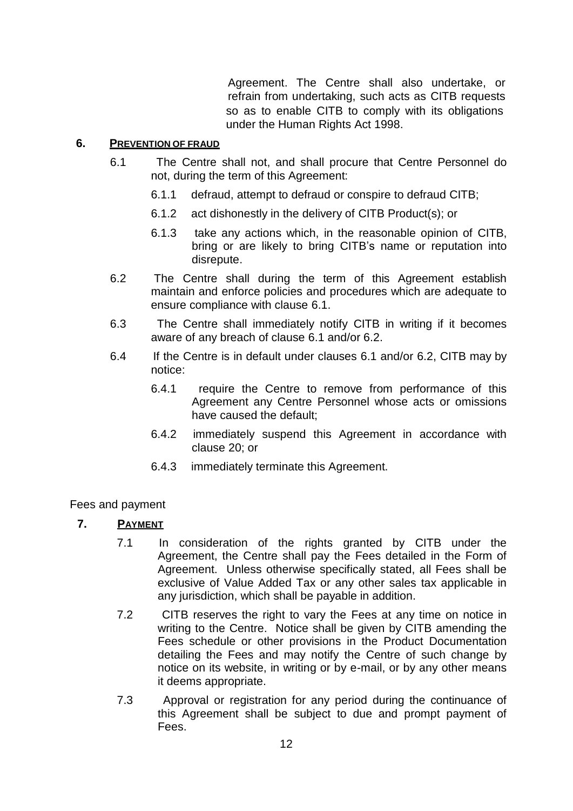Agreement. The Centre shall also undertake, or refrain from undertaking, such acts as CITB requests so as to enable CITB to comply with its obligations under the Human Rights Act 1998.

#### **6. PREVENTION OF FRAUD**

- 6.1 The Centre shall not, and shall procure that Centre Personnel do not, during the term of this Agreement:
	- 6.1.1 defraud, attempt to defraud or conspire to defraud CITB;
	- 6.1.2 act dishonestly in the delivery of CITB Product(s); or
	- 6.1.3 take any actions which, in the reasonable opinion of CITB, bring or are likely to bring CITB's name or reputation into disrepute.
- 6.2 The Centre shall during the term of this Agreement establish maintain and enforce policies and procedures which are adequate to ensure compliance with clause 6.1.
- 6.3 The Centre shall immediately notify CITB in writing if it becomes aware of any breach of clause 6.1 and/or 6.2.
- 6.4 If the Centre is in default under clauses 6.1 and/or 6.2, CITB may by notice:
	- 6.4.1 require the Centre to remove from performance of this Agreement any Centre Personnel whose acts or omissions have caused the default;
	- 6.4.2 immediately suspend this Agreement in accordance with clause 20; or
	- 6.4.3 immediately terminate this Agreement.

#### Fees and payment

# **7. PAYMENT**

- 7.1 In consideration of the rights granted by CITB under the Agreement, the Centre shall pay the Fees detailed in the Form of Agreement. Unless otherwise specifically stated, all Fees shall be exclusive of Value Added Tax or any other sales tax applicable in any jurisdiction, which shall be payable in addition.
- 7.2 CITB reserves the right to vary the Fees at any time on notice in writing to the Centre. Notice shall be given by CITB amending the Fees schedule or other provisions in the Product Documentation detailing the Fees and may notify the Centre of such change by notice on its website, in writing or by e-mail, or by any other means it deems appropriate.
- 7.3 Approval or registration for any period during the continuance of this Agreement shall be subject to due and prompt payment of Fees.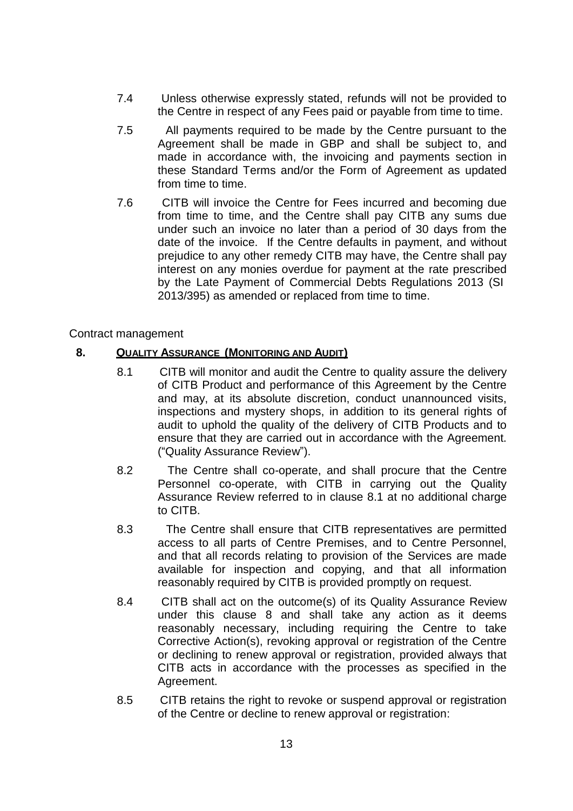- 7.4 Unless otherwise expressly stated, refunds will not be provided to the Centre in respect of any Fees paid or payable from time to time.
- 7.5 All payments required to be made by the Centre pursuant to the Agreement shall be made in GBP and shall be subject to, and made in accordance with, the invoicing and payments section in these Standard Terms and/or the Form of Agreement as updated from time to time.
- 7.6 CITB will invoice the Centre for Fees incurred and becoming due from time to time, and the Centre shall pay CITB any sums due under such an invoice no later than a period of 30 days from the date of the invoice. If the Centre defaults in payment, and without prejudice to any other remedy CITB may have, the Centre shall pay interest on any monies overdue for payment at the rate prescribed by the Late Payment of Commercial Debts Regulations 2013 (SI 2013/395) as amended or replaced from time to time.

#### Contract management

#### **8. QUALITY ASSURANCE (MONITORING AND AUDIT)**

- 8.1 CITB will monitor and audit the Centre to quality assure the delivery of CITB Product and performance of this Agreement by the Centre and may, at its absolute discretion, conduct unannounced visits, inspections and mystery shops, in addition to its general rights of audit to uphold the quality of the delivery of CITB Products and to ensure that they are carried out in accordance with the Agreement. ("Quality Assurance Review").
- 8.2 The Centre shall co-operate, and shall procure that the Centre Personnel co-operate, with CITB in carrying out the Quality Assurance Review referred to in clause 8.1 at no additional charge to CITB.
- 8.3 The Centre shall ensure that CITB representatives are permitted access to all parts of Centre Premises, and to Centre Personnel, and that all records relating to provision of the Services are made available for inspection and copying, and that all information reasonably required by CITB is provided promptly on request.
- 8.4 CITB shall act on the outcome(s) of its Quality Assurance Review under this clause 8 and shall take any action as it deems reasonably necessary, including requiring the Centre to take Corrective Action(s), revoking approval or registration of the Centre or declining to renew approval or registration, provided always that CITB acts in accordance with the processes as specified in the Agreement.
- 8.5 CITB retains the right to revoke or suspend approval or registration of the Centre or decline to renew approval or registration: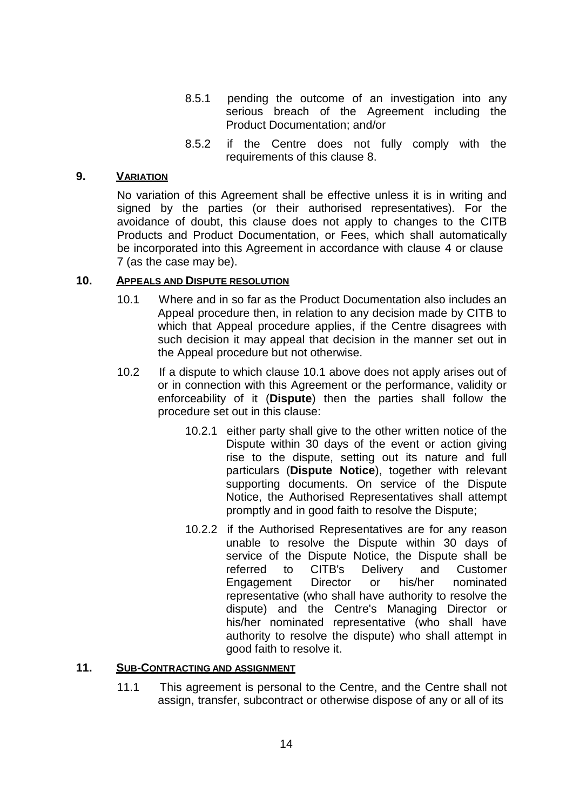- 8.5.1 pending the outcome of an investigation into any serious breach of the Agreement including the Product Documentation; and/or
- 8.5.2 if the Centre does not fully comply with the requirements of this clause 8.

#### **9. VARIATION**

No variation of this Agreement shall be effective unless it is in writing and signed by the parties (or their authorised representatives). For the avoidance of doubt, this clause does not apply to changes to the CITB Products and Product Documentation, or Fees, which shall automatically be incorporated into this Agreement in accordance with clause 4 or clause 7 (as the case may be).

#### **10. APPEALS AND DISPUTE RESOLUTION**

- 10.1 Where and in so far as the Product Documentation also includes an Appeal procedure then, in relation to any decision made by CITB to which that Appeal procedure applies, if the Centre disagrees with such decision it may appeal that decision in the manner set out in the Appeal procedure but not otherwise.
- 10.2 If a dispute to which clause 10.1 above does not apply arises out of or in connection with this Agreement or the performance, validity or enforceability of it (**Dispute**) then the parties shall follow the procedure set out in this clause:
	- 10.2.1 either party shall give to the other written notice of the Dispute within 30 days of the event or action giving rise to the dispute, setting out its nature and full particulars (**Dispute Notice**), together with relevant supporting documents. On service of the Dispute Notice, the Authorised Representatives shall attempt promptly and in good faith to resolve the Dispute;
	- 10.2.2 if the Authorised Representatives are for any reason unable to resolve the Dispute within 30 days of service of the Dispute Notice, the Dispute shall be referred to CITB's Delivery and Customer Engagement Director or his/her nominated representative (who shall have authority to resolve the dispute) and the Centre's Managing Director or his/her nominated representative (who shall have authority to resolve the dispute) who shall attempt in good faith to resolve it.

#### **11. SUB-CONTRACTING AND ASSIGNMENT**

11.1 This agreement is personal to the Centre, and the Centre shall not assign, transfer, subcontract or otherwise dispose of any or all of its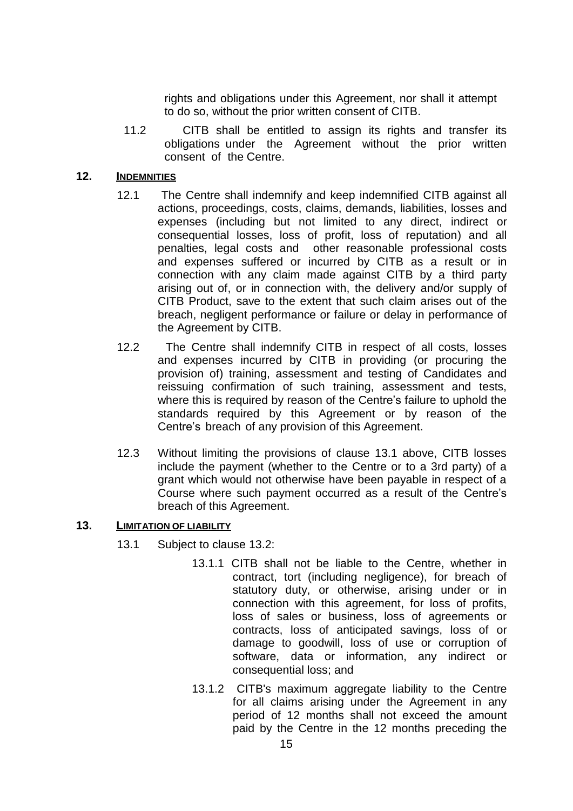rights and obligations under this Agreement, nor shall it attempt to do so, without the prior written consent of CITB.

11.2 CITB shall be entitled to assign its rights and transfer its obligations under the Agreement without the prior written consent of the Centre.

#### **12. INDEMNITIES**

- 12.1 The Centre shall indemnify and keep indemnified CITB against all actions, proceedings, costs, claims, demands, liabilities, losses and expenses (including but not limited to any direct, indirect or consequential losses, loss of profit, loss of reputation) and all penalties, legal costs and other reasonable professional costs and expenses suffered or incurred by CITB as a result or in connection with any claim made against CITB by a third party arising out of, or in connection with, the delivery and/or supply of CITB Product, save to the extent that such claim arises out of the breach, negligent performance or failure or delay in performance of the Agreement by CITB.
- 12.2 The Centre shall indemnify CITB in respect of all costs, losses and expenses incurred by CITB in providing (or procuring the provision of) training, assessment and testing of Candidates and reissuing confirmation of such training, assessment and tests, where this is required by reason of the Centre's failure to uphold the standards required by this Agreement or by reason of the Centre's breach of any provision of this Agreement.
- 12.3 Without limiting the provisions of clause 13.1 above, CITB losses include the payment (whether to the Centre or to a 3rd party) of a grant which would not otherwise have been payable in respect of a Course where such payment occurred as a result of the Centre's breach of this Agreement.

### **13. LIMITATION OF LIABILITY**

- 13.1 Subject to clause 13.2:
	- 13.1.1 CITB shall not be liable to the Centre, whether in contract, tort (including negligence), for breach of statutory duty, or otherwise, arising under or in connection with this agreement, for loss of profits, loss of sales or business, loss of agreements or contracts, loss of anticipated savings, loss of or damage to goodwill, loss of use or corruption of software, data or information, any indirect or consequential loss; and
	- 13.1.2 CITB's maximum aggregate liability to the Centre for all claims arising under the Agreement in any period of 12 months shall not exceed the amount paid by the Centre in the 12 months preceding the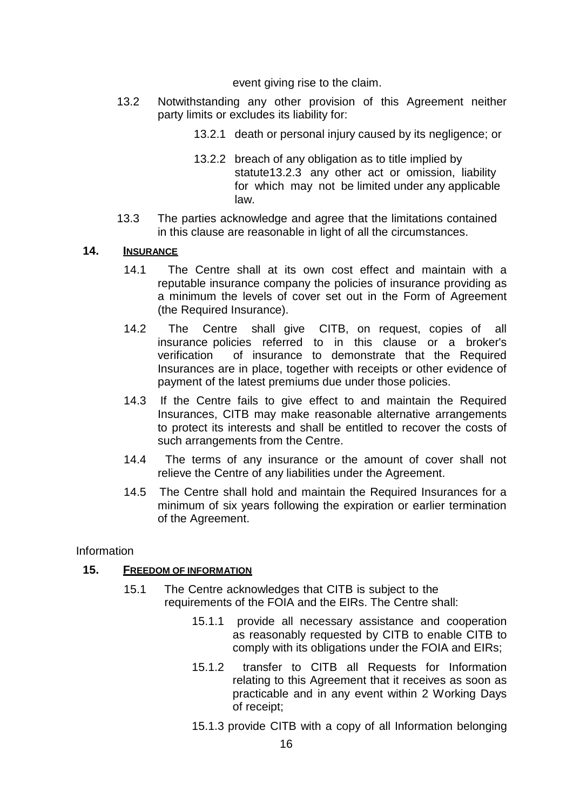event giving rise to the claim.

- 13.2 Notwithstanding any other provision of this Agreement neither party limits or excludes its liability for:
	- 13.2.1 death or personal injury caused by its negligence; or
	- 13.2.2 breach of any obligation as to title implied by statute13.2.3 any other act or omission, liability for which may not be limited under any applicable law.
- 13.3 The parties acknowledge and agree that the limitations contained in this clause are reasonable in light of all the circumstances.

#### **14. INSURANCE**

- 14.1 The Centre shall at its own cost effect and maintain with a reputable insurance company the policies of insurance providing as a minimum the levels of cover set out in the Form of Agreement (the Required Insurance).
- 14.2 The Centre shall give CITB, on request, copies of all insurance policies referred to in this clause or a broker's verification of insurance to demonstrate that the Required Insurances are in place, together with receipts or other evidence of payment of the latest premiums due under those policies.
- 14.3 If the Centre fails to give effect to and maintain the Required Insurances, CITB may make reasonable alternative arrangements to protect its interests and shall be entitled to recover the costs of such arrangements from the Centre.
- 14.4 The terms of any insurance or the amount of cover shall not relieve the Centre of any liabilities under the Agreement.
- 14.5 The Centre shall hold and maintain the Required Insurances for a minimum of six years following the expiration or earlier termination of the Agreement.

Information

#### **15. FREEDOM OF INFORMATION**

- 15.1 The Centre acknowledges that CITB is subject to the requirements of the FOIA and the EIRs. The Centre shall:
	- 15.1.1 provide all necessary assistance and cooperation as reasonably requested by CITB to enable CITB to comply with its obligations under the FOIA and EIRs;
	- 15.1.2 transfer to CITB all Requests for Information relating to this Agreement that it receives as soon as practicable and in any event within 2 Working Days of receipt;
	- 15.1.3 provide CITB with a copy of all Information belonging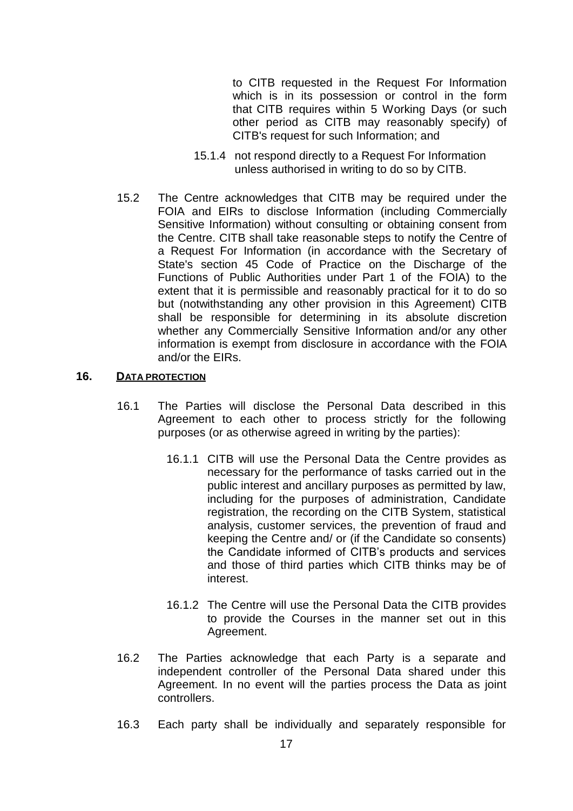to CITB requested in the Request For Information which is in its possession or control in the form that CITB requires within 5 Working Days (or such other period as CITB may reasonably specify) of CITB's request for such Information; and

- 15.1.4 not respond directly to a Request For Information unless authorised in writing to do so by CITB.
- 15.2 The Centre acknowledges that CITB may be required under the FOIA and EIRs to disclose Information (including Commercially Sensitive Information) without consulting or obtaining consent from the Centre. CITB shall take reasonable steps to notify the Centre of a Request For Information (in accordance with the Secretary of State's section 45 Code of Practice on the Discharge of the Functions of Public Authorities under Part 1 of the FOIA) to the extent that it is permissible and reasonably practical for it to do so but (notwithstanding any other provision in this Agreement) CITB shall be responsible for determining in its absolute discretion whether any Commercially Sensitive Information and/or any other information is exempt from disclosure in accordance with the FOIA and/or the EIRs.

#### **16. DATA PROTECTION**

- 16.1 The Parties will disclose the Personal Data described in this Agreement to each other to process strictly for the following purposes (or as otherwise agreed in writing by the parties):
	- 16.1.1 CITB will use the Personal Data the Centre provides as necessary for the performance of tasks carried out in the public interest and ancillary purposes as permitted by law, including for the purposes of administration, Candidate registration, the recording on the CITB System, statistical analysis, customer services, the prevention of fraud and keeping the Centre and/ or (if the Candidate so consents) the Candidate informed of CITB's products and services and those of third parties which CITB thinks may be of interest.
	- 16.1.2 The Centre will use the Personal Data the CITB provides to provide the Courses in the manner set out in this Agreement.
- 16.2 The Parties acknowledge that each Party is a separate and independent controller of the Personal Data shared under this Agreement. In no event will the parties process the Data as joint controllers.
- 16.3 Each party shall be individually and separately responsible for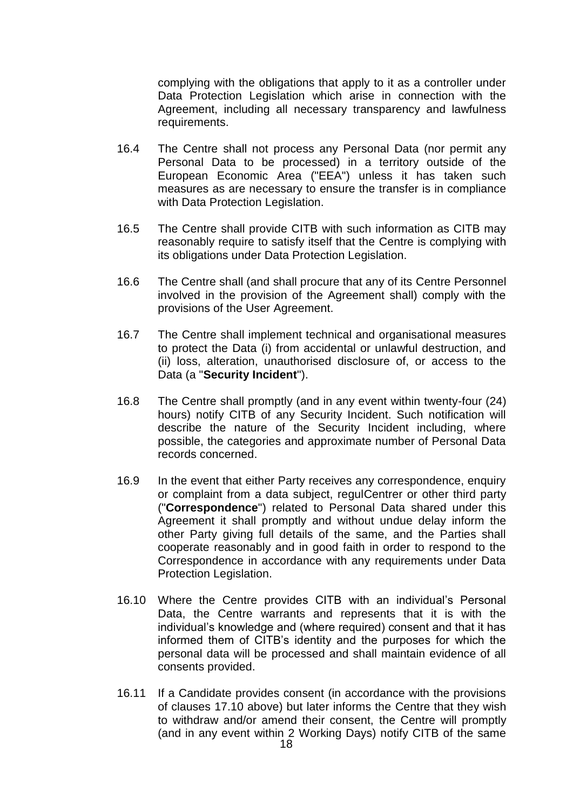complying with the obligations that apply to it as a controller under Data Protection Legislation which arise in connection with the Agreement, including all necessary transparency and lawfulness requirements.

- 16.4 The Centre shall not process any Personal Data (nor permit any Personal Data to be processed) in a territory outside of the European Economic Area ("EEA") unless it has taken such measures as are necessary to ensure the transfer is in compliance with Data Protection Legislation.
- 16.5 The Centre shall provide CITB with such information as CITB may reasonably require to satisfy itself that the Centre is complying with its obligations under Data Protection Legislation.
- 16.6 The Centre shall (and shall procure that any of its Centre Personnel involved in the provision of the Agreement shall) comply with the provisions of the User Agreement.
- 16.7 The Centre shall implement technical and organisational measures to protect the Data (i) from accidental or unlawful destruction, and (ii) loss, alteration, unauthorised disclosure of, or access to the Data (a "**Security Incident**").
- 16.8 The Centre shall promptly (and in any event within twenty-four (24) hours) notify CITB of any Security Incident. Such notification will describe the nature of the Security Incident including, where possible, the categories and approximate number of Personal Data records concerned.
- 16.9 In the event that either Party receives any correspondence, enquiry or complaint from a data subject, regulCentrer or other third party ("**Correspondence**") related to Personal Data shared under this Agreement it shall promptly and without undue delay inform the other Party giving full details of the same, and the Parties shall cooperate reasonably and in good faith in order to respond to the Correspondence in accordance with any requirements under Data Protection Legislation.
- 16.10 Where the Centre provides CITB with an individual's Personal Data, the Centre warrants and represents that it is with the individual's knowledge and (where required) consent and that it has informed them of CITB's identity and the purposes for which the personal data will be processed and shall maintain evidence of all consents provided.
- 16.11 If a Candidate provides consent (in accordance with the provisions of clauses 17.10 above) but later informs the Centre that they wish to withdraw and/or amend their consent, the Centre will promptly (and in any event within 2 Working Days) notify CITB of the same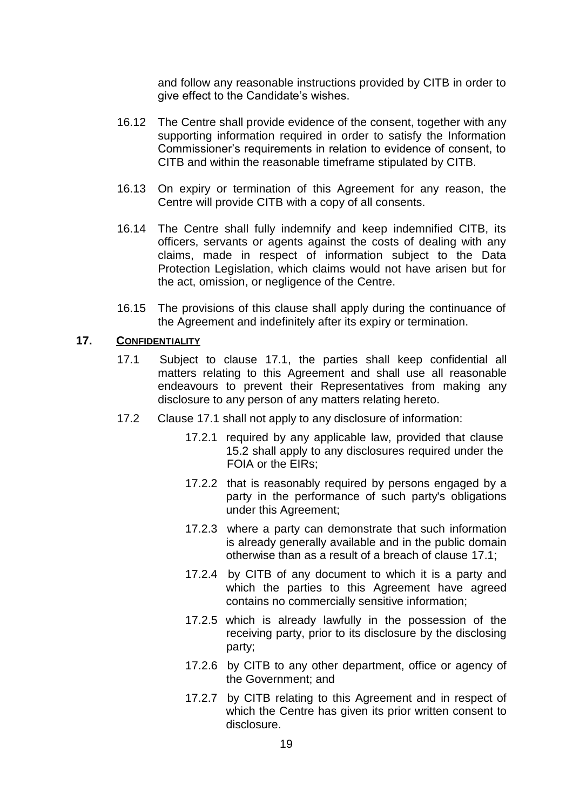and follow any reasonable instructions provided by CITB in order to give effect to the Candidate's wishes.

- 16.12 The Centre shall provide evidence of the consent, together with any supporting information required in order to satisfy the Information Commissioner's requirements in relation to evidence of consent, to CITB and within the reasonable timeframe stipulated by CITB.
- 16.13 On expiry or termination of this Agreement for any reason, the Centre will provide CITB with a copy of all consents.
- 16.14 The Centre shall fully indemnify and keep indemnified CITB, its officers, servants or agents against the costs of dealing with any claims, made in respect of information subject to the Data Protection Legislation, which claims would not have arisen but for the act, omission, or negligence of the Centre.
- 16.15 The provisions of this clause shall apply during the continuance of the Agreement and indefinitely after its expiry or termination.

#### **17. CONFIDENTIALITY**

- 17.1 Subject to clause 17.1, the parties shall keep confidential all matters relating to this Agreement and shall use all reasonable endeavours to prevent their Representatives from making any disclosure to any person of any matters relating hereto.
- 17.2 Clause 17.1 shall not apply to any disclosure of information:
	- 17.2.1 required by any applicable law, provided that clause 15.2 shall apply to any disclosures required under the FOIA or the EIRs;
	- 17.2.2 that is reasonably required by persons engaged by a party in the performance of such party's obligations under this Agreement;
	- 17.2.3 where a party can demonstrate that such information is already generally available and in the public domain otherwise than as a result of a breach of clause 17.1;
	- 17.2.4 by CITB of any document to which it is a party and which the parties to this Agreement have agreed contains no commercially sensitive information;
	- 17.2.5 which is already lawfully in the possession of the receiving party, prior to its disclosure by the disclosing party;
	- 17.2.6 by CITB to any other department, office or agency of the Government; and
	- 17.2.7 by CITB relating to this Agreement and in respect of which the Centre has given its prior written consent to disclosure.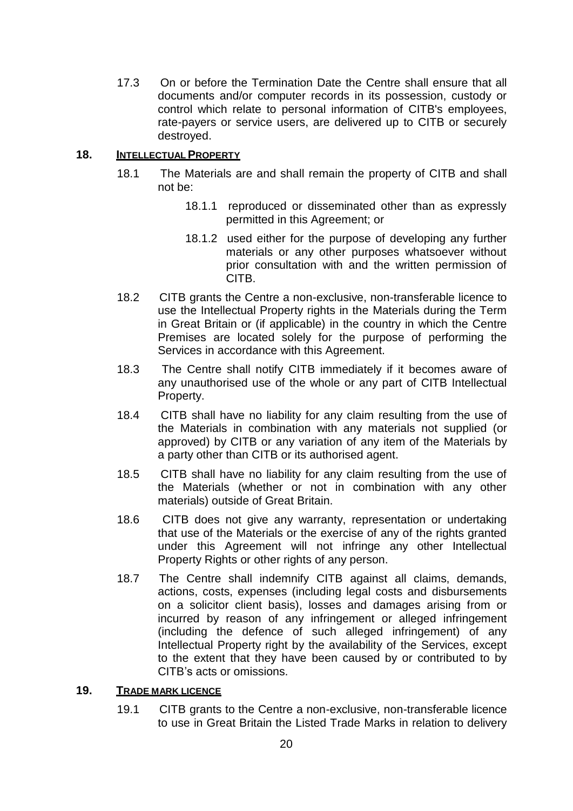17.3 On or before the Termination Date the Centre shall ensure that all documents and/or computer records in its possession, custody or control which relate to personal information of CITB's employees, rate-payers or service users, are delivered up to CITB or securely destroyed.

#### **18. INTELLECTUAL PROPERTY**

- 18.1 The Materials are and shall remain the property of CITB and shall not be:
	- 18.1.1 reproduced or disseminated other than as expressly permitted in this Agreement; or
	- 18.1.2 used either for the purpose of developing any further materials or any other purposes whatsoever without prior consultation with and the written permission of CITB.
- 18.2 CITB grants the Centre a non-exclusive, non-transferable licence to use the Intellectual Property rights in the Materials during the Term in Great Britain or (if applicable) in the country in which the Centre Premises are located solely for the purpose of performing the Services in accordance with this Agreement.
- 18.3 The Centre shall notify CITB immediately if it becomes aware of any unauthorised use of the whole or any part of CITB Intellectual Property.
- 18.4 CITB shall have no liability for any claim resulting from the use of the Materials in combination with any materials not supplied (or approved) by CITB or any variation of any item of the Materials by a party other than CITB or its authorised agent.
- 18.5 CITB shall have no liability for any claim resulting from the use of the Materials (whether or not in combination with any other materials) outside of Great Britain.
- 18.6 CITB does not give any warranty, representation or undertaking that use of the Materials or the exercise of any of the rights granted under this Agreement will not infringe any other Intellectual Property Rights or other rights of any person.
- 18.7 The Centre shall indemnify CITB against all claims, demands, actions, costs, expenses (including legal costs and disbursements on a solicitor client basis), losses and damages arising from or incurred by reason of any infringement or alleged infringement (including the defence of such alleged infringement) of any Intellectual Property right by the availability of the Services, except to the extent that they have been caused by or contributed to by CITB's acts or omissions.

#### **19. TRADE MARK LICENCE**

19.1 CITB grants to the Centre a non-exclusive, non-transferable licence to use in Great Britain the Listed Trade Marks in relation to delivery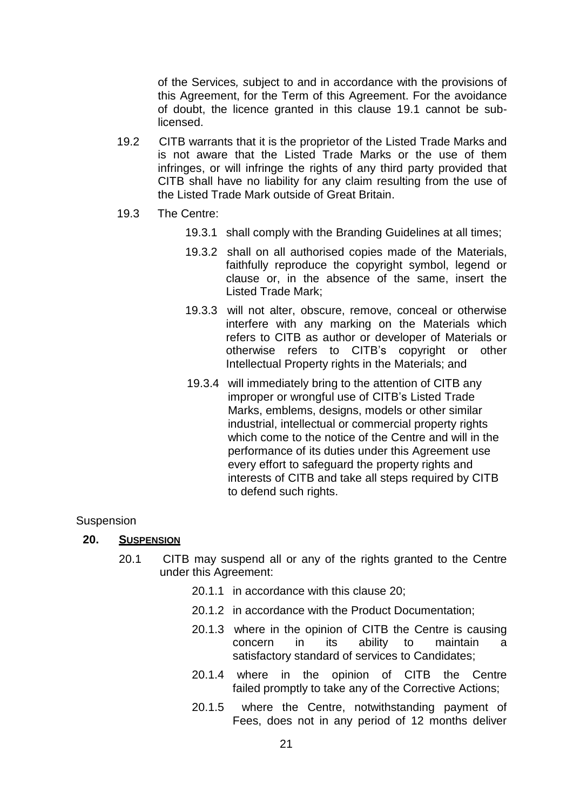of the Services*, s*ubject to and in accordance with the provisions of this Agreement, for the Term of this Agreement. For the avoidance of doubt, the licence granted in this clause 19.1 cannot be sublicensed.

- 19.2 CITB warrants that it is the proprietor of the Listed Trade Marks and is not aware that the Listed Trade Marks or the use of them infringes, or will infringe the rights of any third party provided that CITB shall have no liability for any claim resulting from the use of the Listed Trade Mark outside of Great Britain.
- 19.3 The Centre:
	- 19.3.1 shall comply with the Branding Guidelines at all times;
	- 19.3.2 shall on all authorised copies made of the Materials, faithfully reproduce the copyright symbol, legend or clause or, in the absence of the same, insert the Listed Trade Mark;
	- 19.3.3 will not alter, obscure, remove, conceal or otherwise interfere with any marking on the Materials which refers to CITB as author or developer of Materials or otherwise refers to CITB's copyright or other Intellectual Property rights in the Materials; and
	- 19.3.4 will immediately bring to the attention of CITB any improper or wrongful use of CITB's Listed Trade Marks, emblems, designs, models or other similar industrial, intellectual or commercial property rights which come to the notice of the Centre and will in the performance of its duties under this Agreement use every effort to safeguard the property rights and interests of CITB and take all steps required by CITB to defend such rights.

#### **Suspension**

#### **20. SUSPENSION**

- 20.1 CITB may suspend all or any of the rights granted to the Centre under this Agreement:
	- 20.1.1 in accordance with this clause 20;
	- 20.1.2 in accordance with the Product Documentation;
	- 20.1.3 where in the opinion of CITB the Centre is causing concern in its ability to maintain a satisfactory standard of services to Candidates;
	- 20.1.4 where in the opinion of CITB the Centre failed promptly to take any of the Corrective Actions;
	- 20.1.5 where the Centre, notwithstanding payment of Fees, does not in any period of 12 months deliver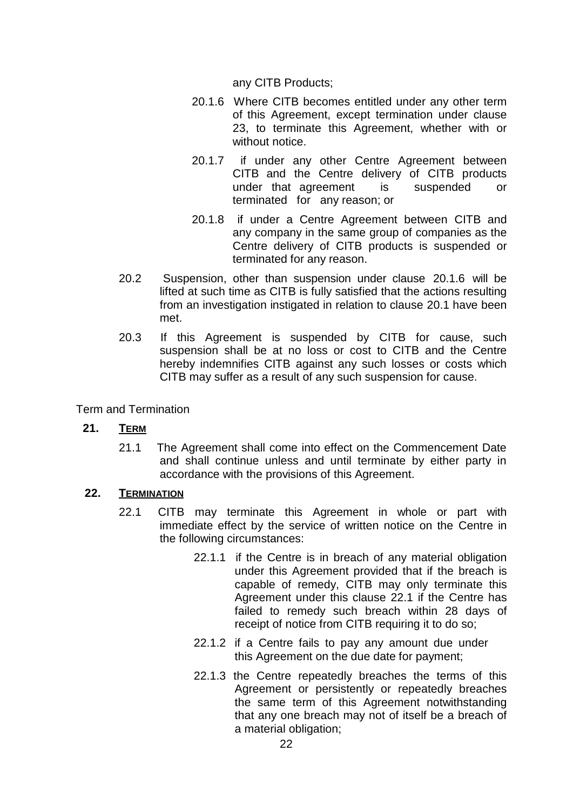any CITB Products;

- 20.1.6 Where CITB becomes entitled under any other term of this Agreement, except termination under clause 23, to terminate this Agreement, whether with or without notice.
- 20.1.7 if under any other Centre Agreement between CITB and the Centre delivery of CITB products under that agreement is suspended or terminated for any reason; or
- 20.1.8 if under a Centre Agreement between CITB and any company in the same group of companies as the Centre delivery of CITB products is suspended or terminated for any reason.
- 20.2 Suspension, other than suspension under clause 20.1.6 will be lifted at such time as CITB is fully satisfied that the actions resulting from an investigation instigated in relation to clause 20.1 have been met.
- 20.3 If this Agreement is suspended by CITB for cause, such suspension shall be at no loss or cost to CITB and the Centre hereby indemnifies CITB against any such losses or costs which CITB may suffer as a result of any such suspension for cause.

Term and Termination

# **21. TERM**

21.1 The Agreement shall come into effect on the Commencement Date and shall continue unless and until terminate by either party in accordance with the provisions of this Agreement.

#### **22. TERMINATION**

- 22.1 CITB may terminate this Agreement in whole or part with immediate effect by the service of written notice on the Centre in the following circumstances:
	- 22.1.1 if the Centre is in breach of any material obligation under this Agreement provided that if the breach is capable of remedy, CITB may only terminate this Agreement under this clause 22.1 if the Centre has failed to remedy such breach within 28 days of receipt of notice from CITB requiring it to do so;
	- 22.1.2 if a Centre fails to pay any amount due under this Agreement on the due date for payment;
	- 22.1.3 the Centre repeatedly breaches the terms of this Agreement or persistently or repeatedly breaches the same term of this Agreement notwithstanding that any one breach may not of itself be a breach of a material obligation;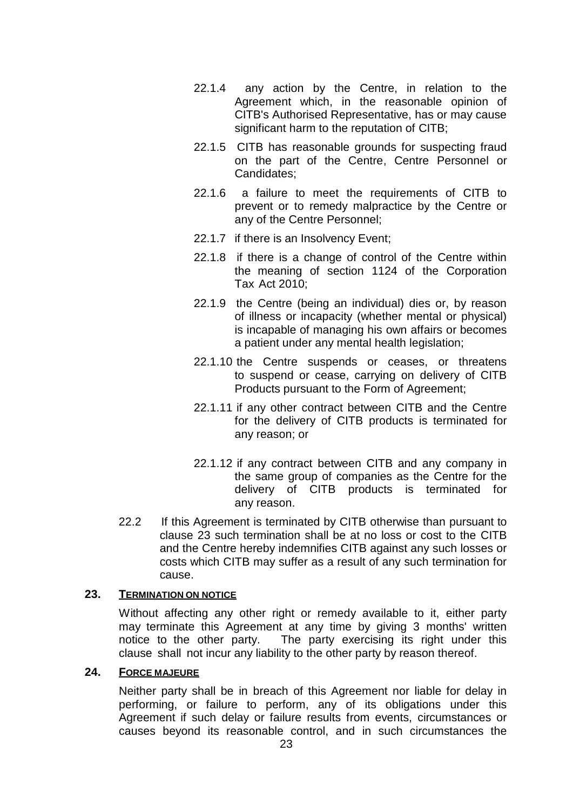- 22.1.4 any action by the Centre, in relation to the Agreement which, in the reasonable opinion of CITB's Authorised Representative, has or may cause significant harm to the reputation of CITB;
- 22.1.5 CITB has reasonable grounds for suspecting fraud on the part of the Centre, Centre Personnel or Candidates;
- 22.1.6 a failure to meet the requirements of CITB to prevent or to remedy malpractice by the Centre or any of the Centre Personnel;
- 22.1.7 if there is an Insolvency Event;
- 22.1.8 if there is a change of control of the Centre within the meaning of section 1124 of the Corporation Tax Act 2010;
- 22.1.9 the Centre (being an individual) dies or, by reason of illness or incapacity (whether mental or physical) is incapable of managing his own affairs or becomes a patient under any mental health legislation;
- 22.1.10 the Centre suspends or ceases, or threatens to suspend or cease, carrying on delivery of CITB Products pursuant to the Form of Agreement;
- 22.1.11 if any other contract between CITB and the Centre for the delivery of CITB products is terminated for any reason; or
- 22.1.12 if any contract between CITB and any company in the same group of companies as the Centre for the delivery of CITB products is terminated for any reason.
- 22.2 If this Agreement is terminated by CITB otherwise than pursuant to clause 23 such termination shall be at no loss or cost to the CITB and the Centre hereby indemnifies CITB against any such losses or costs which CITB may suffer as a result of any such termination for cause.

#### **23. TERMINATION ON NOTICE**

Without affecting any other right or remedy available to it, either party may terminate this Agreement at any time by giving 3 months' written notice to the other party. The party exercising its right under this clause shall not incur any liability to the other party by reason thereof.

#### **24. FORCE MAJEURE**

Neither party shall be in breach of this Agreement nor liable for delay in performing, or failure to perform, any of its obligations under this Agreement if such delay or failure results from events, circumstances or causes beyond its reasonable control, and in such circumstances the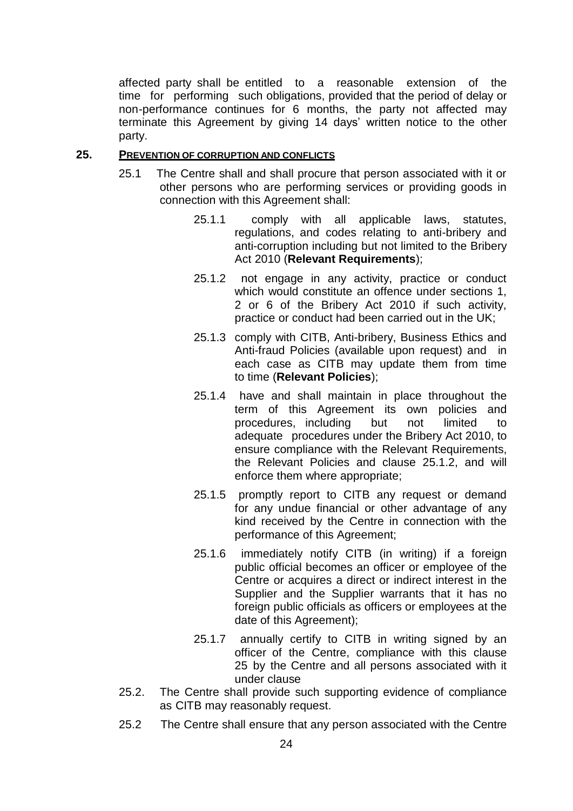affected party shall be entitled to a reasonable extension of the time for performing such obligations, provided that the period of delay or non-performance continues for 6 months, the party not affected may terminate this Agreement by giving 14 days' written notice to the other party.

#### **25. PREVENTION OF CORRUPTION AND CONFLICTS**

- 25.1 The Centre shall and shall procure that person associated with it or other persons who are performing services or providing goods in connection with this Agreement shall:
	- 25.1.1 comply with all applicable laws, statutes, regulations, and codes relating to anti-bribery and anti-corruption including but not limited to the Bribery Act 2010 (**Relevant Requirements**);
	- 25.1.2 not engage in any activity, practice or conduct which would constitute an offence under sections 1, 2 or 6 of the Bribery Act 2010 if such activity, practice or conduct had been carried out in the UK;
	- 25.1.3 comply with CITB, Anti-bribery, Business Ethics and Anti-fraud Policies (available upon request) and in each case as CITB may update them from time to time (**Relevant Policies**);
	- 25.1.4 have and shall maintain in place throughout the term of this Agreement its own policies and procedures, including but not limited to adequate procedures under the Bribery Act 2010, to ensure compliance with the Relevant Requirements, the Relevant Policies and clause 25.1.2, and will enforce them where appropriate;
	- 25.1.5 promptly report to CITB any request or demand for any undue financial or other advantage of any kind received by the Centre in connection with the performance of this Agreement;
	- 25.1.6 immediately notify CITB (in writing) if a foreign public official becomes an officer or employee of the Centre or acquires a direct or indirect interest in the Supplier and the Supplier warrants that it has no foreign public officials as officers or employees at the date of this Agreement);
	- 25.1.7 annually certify to CITB in writing signed by an officer of the Centre, compliance with this clause 25 by the Centre and all persons associated with it under clause
- 25.2. The Centre shall provide such supporting evidence of compliance as CITB may reasonably request.
- 25.2 The Centre shall ensure that any person associated with the Centre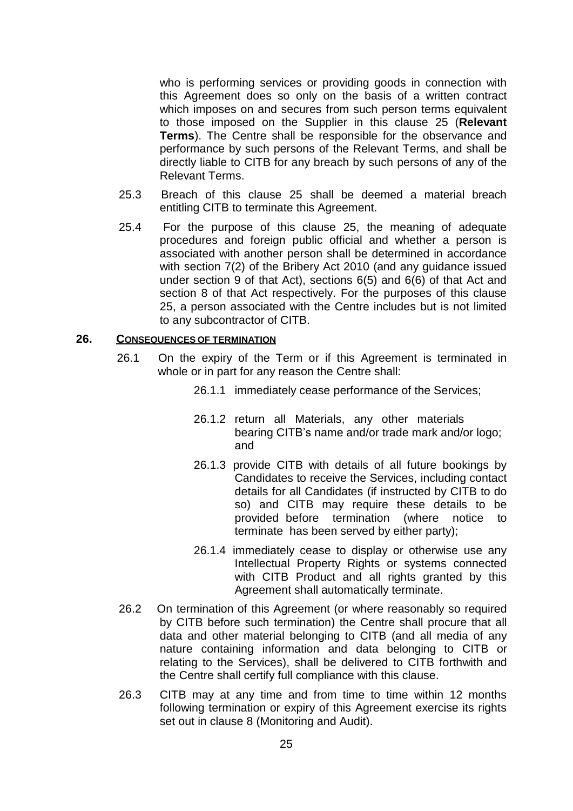who is performing services or providing goods in connection with this Agreement does so only on the basis of a written contract which imposes on and secures from such person terms equivalent to those imposed on the Supplier in this clause 25 (**Relevant Terms**). The Centre shall be responsible for the observance and performance by such persons of the Relevant Terms, and shall be directly liable to CITB for any breach by such persons of any of the Relevant Terms.

- 25.3 Breach of this clause 25 shall be deemed a material breach entitling CITB to terminate this Agreement.
- 25.4 For the purpose of this clause 25, the meaning of adequate procedures and foreign public official and whether a person is associated with another person shall be determined in accordance with section 7(2) of the Bribery Act 2010 (and any guidance issued under section 9 of that Act), sections 6(5) and 6(6) of that Act and section 8 of that Act respectively. For the purposes of this clause 25, a person associated with the Centre includes but is not limited to any subcontractor of CITB.

#### **26. CONSEQUENCES OF TERMINATION**

- 26.1 On the expiry of the Term or if this Agreement is terminated in whole or in part for any reason the Centre shall:
	- 26.1.1 immediately cease performance of the Services;
	- 26.1.2 return all Materials, any other materials bearing CITB's name and/or trade mark and/or logo; and
	- 26.1.3 provide CITB with details of all future bookings by Candidates to receive the Services, including contact details for all Candidates (if instructed by CITB to do so) and CITB may require these details to be provided before termination (where notice to terminate has been served by either party);
	- 26.1.4 immediately cease to display or otherwise use any Intellectual Property Rights or systems connected with CITB Product and all rights granted by this Agreement shall automatically terminate.
- 26.2 On termination of this Agreement (or where reasonably so required by CITB before such termination) the Centre shall procure that all data and other material belonging to CITB (and all media of any nature containing information and data belonging to CITB or relating to the Services), shall be delivered to CITB forthwith and the Centre shall certify full compliance with this clause.
- 26.3 CITB may at any time and from time to time within 12 months following termination or expiry of this Agreement exercise its rights set out in clause 8 (Monitoring and Audit).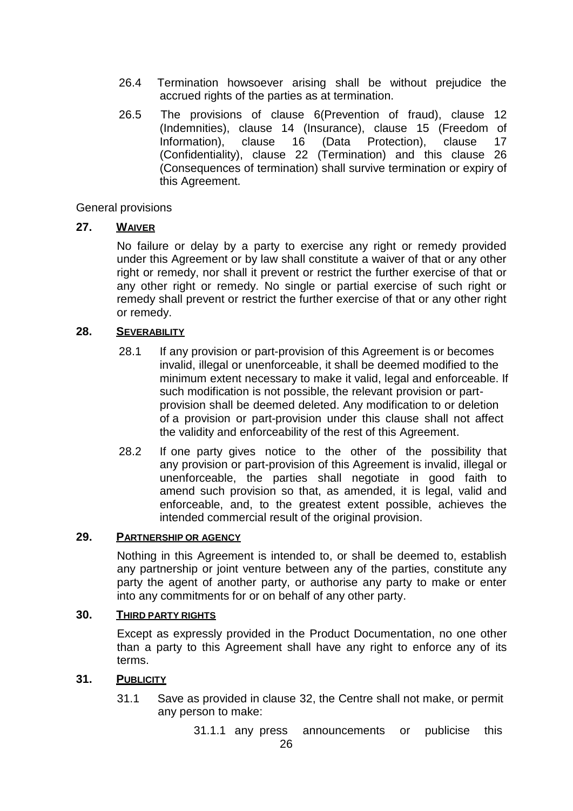- 26.4 Termination howsoever arising shall be without prejudice the accrued rights of the parties as at termination.
- 26.5 The provisions of clause 6(Prevention of fraud), clause 12 (Indemnities), clause 14 (Insurance), clause 15 (Freedom of Information), clause 16 (Data Protection), clause 17 (Confidentiality), clause 22 (Termination) and this clause 26 (Consequences of termination) shall survive termination or expiry of this Agreement.

#### General provisions

#### **27. WAIVER**

No failure or delay by a party to exercise any right or remedy provided under this Agreement or by law shall constitute a waiver of that or any other right or remedy, nor shall it prevent or restrict the further exercise of that or any other right or remedy. No single or partial exercise of such right or remedy shall prevent or restrict the further exercise of that or any other right or remedy.

#### **28. SEVERABILITY**

- 28.1 If any provision or part-provision of this Agreement is or becomes invalid, illegal or unenforceable, it shall be deemed modified to the minimum extent necessary to make it valid, legal and enforceable. If such modification is not possible, the relevant provision or partprovision shall be deemed deleted. Any modification to or deletion of a provision or part-provision under this clause shall not affect the validity and enforceability of the rest of this Agreement.
- 28.2 If one party gives notice to the other of the possibility that any provision or part-provision of this Agreement is invalid, illegal or unenforceable, the parties shall negotiate in good faith to amend such provision so that, as amended, it is legal, valid and enforceable, and, to the greatest extent possible, achieves the intended commercial result of the original provision.

### **29. PARTNERSHIP OR AGENCY**

Nothing in this Agreement is intended to, or shall be deemed to, establish any partnership or joint venture between any of the parties, constitute any party the agent of another party, or authorise any party to make or enter into any commitments for or on behalf of any other party.

#### **30. THIRD PARTY RIGHTS**

Except as expressly provided in the Product Documentation, no one other than a party to this Agreement shall have any right to enforce any of its terms.

#### **31. PUBLICITY**

- 31.1 Save as provided in clause 32, the Centre shall not make, or permit any person to make:
	- 31.1.1 any press announcements or publicise this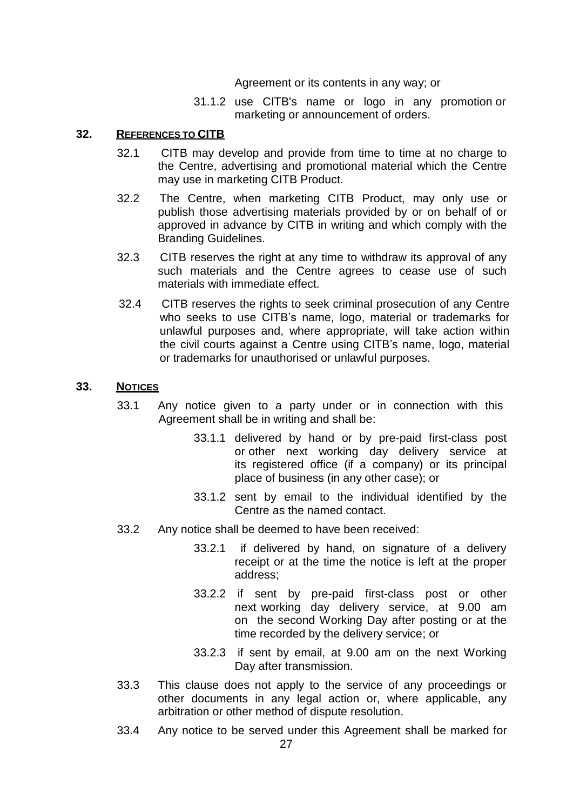Agreement or its contents in any way; or

31.1.2 use CITB's name or logo in any promotion or marketing or announcement of orders.

#### **32. REFERENCES TO CITB**

- 32.1 CITB may develop and provide from time to time at no charge to the Centre, advertising and promotional material which the Centre may use in marketing CITB Product.
- 32.2 The Centre, when marketing CITB Product, may only use or publish those advertising materials provided by or on behalf of or approved in advance by CITB in writing and which comply with the Branding Guidelines.
- 32.3 CITB reserves the right at any time to withdraw its approval of any such materials and the Centre agrees to cease use of such materials with immediate effect.
- 32.4 CITB reserves the rights to seek criminal prosecution of any Centre who seeks to use CITB's name, logo, material or trademarks for unlawful purposes and, where appropriate, will take action within the civil courts against a Centre using CITB's name, logo, material or trademarks for unauthorised or unlawful purposes.

#### **33. NOTICES**

- 33.1 Any notice given to a party under or in connection with this Agreement shall be in writing and shall be:
	- 33.1.1 delivered by hand or by pre-paid first-class post or other next working day delivery service at its registered office (if a company) or its principal place of business (in any other case); or
	- 33.1.2 sent by email to the individual identified by the Centre as the named contact.
- 33.2 Any notice shall be deemed to have been received:
	- 33.2.1 if delivered by hand, on signature of a delivery receipt or at the time the notice is left at the proper address;
	- 33.2.2 if sent by pre-paid first-class post or other next working day delivery service, at 9.00 am on the second Working Day after posting or at the time recorded by the delivery service; or
	- 33.2.3 if sent by email, at 9.00 am on the next Working Day after transmission.
- 33.3 This clause does not apply to the service of any proceedings or other documents in any legal action or, where applicable, any arbitration or other method of dispute resolution.
- 33.4 Any notice to be served under this Agreement shall be marked for